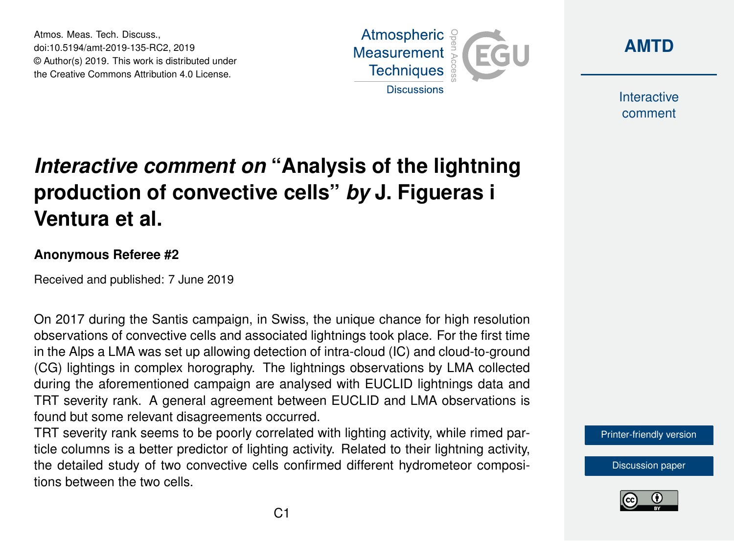Atmos. Meas. Tech. Discuss., doi:10.5194/amt-2019-135-RC2, 2019 © Author(s) 2019. This work is distributed under the Creative Commons Attribution 4.0 License.





Interactive comment

## *Interactive comment on* **"Analysis of the lightning production of convective cells"** *by* **J. Figueras i Ventura et al.**

## **Anonymous Referee #2**

Received and published: 7 June 2019

On 2017 during the Santis campaign, in Swiss, the unique chance for high resolution observations of convective cells and associated lightnings took place. For the first time in the Alps a LMA was set up allowing detection of intra-cloud (IC) and cloud-to-ground (CG) lightings in complex horography. The lightnings observations by LMA collected during the aforementioned campaign are analysed with EUCLID lightnings data and TRT severity rank. A general agreement between EUCLID and LMA observations is found but some relevant disagreements occurred.

TRT severity rank seems to be poorly correlated with lighting activity, while rimed particle columns is a better predictor of lighting activity. Related to their lightning activity, the detailed study of two convective cells confirmed different hydrometeor compositions between the two cells.

[Printer-friendly version](https://www.atmos-meas-tech-discuss.net/amt-2019-135/amt-2019-135-RC2-print.pdf)

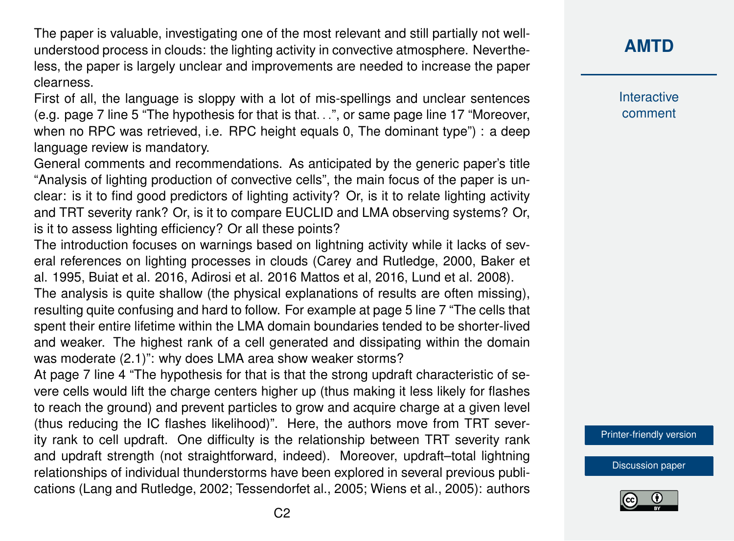The paper is valuable, investigating one of the most relevant and still partially not wellunderstood process in clouds: the lighting activity in convective atmosphere. Nevertheless, the paper is largely unclear and improvements are needed to increase the paper clearness.

First of all, the language is sloppy with a lot of mis-spellings and unclear sentences (e.g. page 7 line 5 "The hypothesis for that is that. . .", or same page line 17 "Moreover, when no RPC was retrieved, i.e. RPC height equals 0, The dominant type") : a deep language review is mandatory.

General comments and recommendations. As anticipated by the generic paper's title "Analysis of lighting production of convective cells", the main focus of the paper is unclear: is it to find good predictors of lighting activity? Or, is it to relate lighting activity and TRT severity rank? Or, is it to compare EUCLID and LMA observing systems? Or, is it to assess lighting efficiency? Or all these points?

The introduction focuses on warnings based on lightning activity while it lacks of several references on lighting processes in clouds (Carey and Rutledge, 2000, Baker et al. 1995, Buiat et al. 2016, Adirosi et al. 2016 Mattos et al, 2016, Lund et al. 2008). The analysis is quite shallow (the physical explanations of results are often missing),

resulting quite confusing and hard to follow. For example at page 5 line 7 "The cells that spent their entire lifetime within the LMA domain boundaries tended to be shorter-lived and weaker. The highest rank of a cell generated and dissipating within the domain was moderate (2.1)": why does LMA area show weaker storms?

At page 7 line 4 "The hypothesis for that is that the strong updraft characteristic of severe cells would lift the charge centers higher up (thus making it less likely for flashes to reach the ground) and prevent particles to grow and acquire charge at a given level (thus reducing the IC flashes likelihood)". Here, the authors move from TRT severity rank to cell updraft. One difficulty is the relationship between TRT severity rank and updraft strength (not straightforward, indeed). Moreover, updraft–total lightning relationships of individual thunderstorms have been explored in several previous publications (Lang and Rutledge, 2002; Tessendorfet al., 2005; Wiens et al., 2005): authors

**[AMTD](https://www.atmos-meas-tech-discuss.net/)**

**Interactive** comment

[Printer-friendly version](https://www.atmos-meas-tech-discuss.net/amt-2019-135/amt-2019-135-RC2-print.pdf)

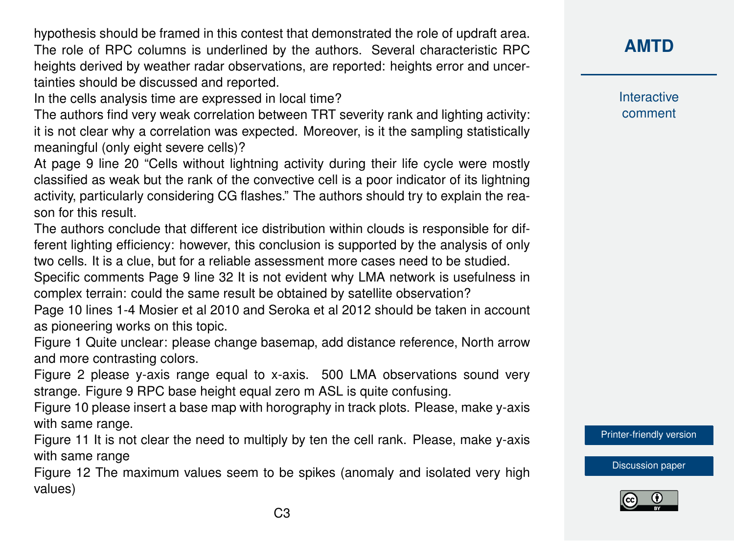hypothesis should be framed in this contest that demonstrated the role of updraft area. The role of RPC columns is underlined by the authors. Several characteristic RPC heights derived by weather radar observations, are reported: heights error and uncertainties should be discussed and reported.

In the cells analysis time are expressed in local time?

The authors find very weak correlation between TRT severity rank and lighting activity: it is not clear why a correlation was expected. Moreover, is it the sampling statistically meaningful (only eight severe cells)?

At page 9 line 20 "Cells without lightning activity during their life cycle were mostly classified as weak but the rank of the convective cell is a poor indicator of its lightning activity, particularly considering CG flashes." The authors should try to explain the reason for this result.

The authors conclude that different ice distribution within clouds is responsible for different lighting efficiency: however, this conclusion is supported by the analysis of only two cells. It is a clue, but for a reliable assessment more cases need to be studied.

Specific comments Page 9 line 32 It is not evident why LMA network is usefulness in complex terrain: could the same result be obtained by satellite observation?

Page 10 lines 1-4 Mosier et al 2010 and Seroka et al 2012 should be taken in account as pioneering works on this topic.

Figure 1 Quite unclear: please change basemap, add distance reference, North arrow and more contrasting colors.

Figure 2 please y-axis range equal to x-axis. 500 LMA observations sound very strange. Figure 9 RPC base height equal zero m ASL is quite confusing.

Figure 10 please insert a base map with horography in track plots. Please, make y-axis with same range.

Figure 11 It is not clear the need to multiply by ten the cell rank. Please, make y-axis with same range

Figure 12 The maximum values seem to be spikes (anomaly and isolated very high values)

**[AMTD](https://www.atmos-meas-tech-discuss.net/)**

Interactive comment

[Printer-friendly version](https://www.atmos-meas-tech-discuss.net/amt-2019-135/amt-2019-135-RC2-print.pdf)